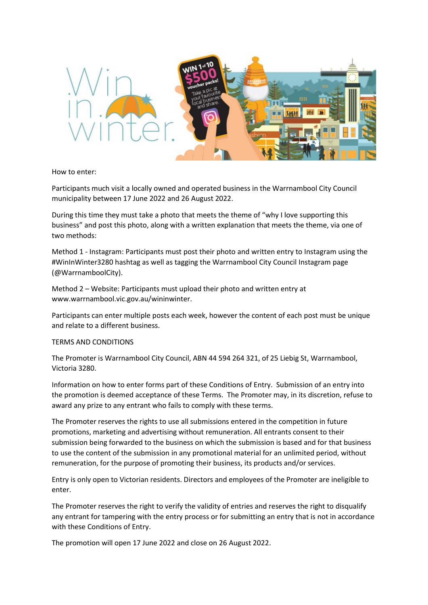

## How to enter:

Participants much visit a locally owned and operated business in the Warrnambool City Council municipality between 17 June 2022 and 26 August 2022.

During this time they must take a photo that meets the theme of "why I love supporting this business" and post this photo, along with a written explanation that meets the theme, via one of two methods:

Method 1 - Instagram: Participants must post their photo and written entry to Instagram using the #WinInWinter3280 hashtag as well as tagging the Warrnambool City Council Instagram page (@WarrnamboolCity).

Method 2 – Website: Participants must upload their photo and written entry at www.warrnambool.vic.gov.au/wininwinter.

Participants can enter multiple posts each week, however the content of each post must be unique and relate to a different business.

## TERMS AND CONDITIONS

The Promoter is Warrnambool City Council, ABN 44 594 264 321, of 25 Liebig St, Warrnambool, Victoria 3280.

Information on how to enter forms part of these Conditions of Entry. Submission of an entry into the promotion is deemed acceptance of these Terms. The Promoter may, in its discretion, refuse to award any prize to any entrant who fails to comply with these terms.

The Promoter reserves the rights to use all submissions entered in the competition in future promotions, marketing and advertising without remuneration. All entrants consent to their submission being forwarded to the business on which the submission is based and for that business to use the content of the submission in any promotional material for an unlimited period, without remuneration, for the purpose of promoting their business, its products and/or services.

Entry is only open to Victorian residents. Directors and employees of the Promoter are ineligible to enter.

The Promoter reserves the right to verify the validity of entries and reserves the right to disqualify any entrant for tampering with the entry process or for submitting an entry that is not in accordance with these Conditions of Entry.

The promotion will open 17 June 2022 and close on 26 August 2022.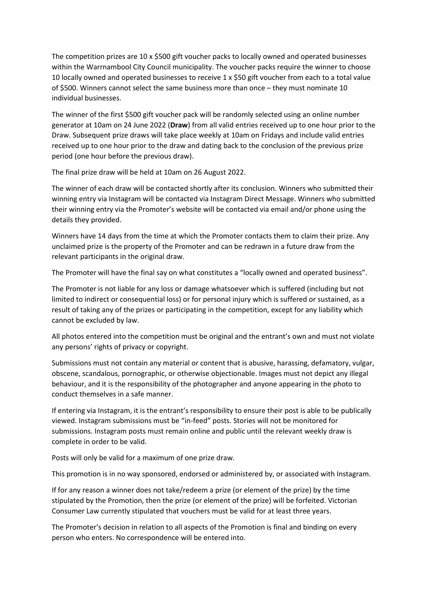The competition prizes are 10 x \$500 gift voucher packs to locally owned and operated businesses within the Warrnambool City Council municipality. The voucher packs require the winner to choose 10 locally owned and operated businesses to receive 1 x \$50 gift voucher from each to a total value of \$500. Winners cannot select the same business more than once – they must nominate 10 individual businesses.

The winner of the first \$500 gift voucher pack will be randomly selected using an online number generator at 10am on 24 June 2022 (**Draw**) from all valid entries received up to one hour prior to the Draw. Subsequent prize draws will take place weekly at 10am on Fridays and include valid entries received up to one hour prior to the draw and dating back to the conclusion of the previous prize period (one hour before the previous draw).

The final prize draw will be held at 10am on 26 August 2022.

The winner of each draw will be contacted shortly after its conclusion. Winners who submitted their winning entry via Instagram will be contacted via Instagram Direct Message. Winners who submitted their winning entry via the Promoter's website will be contacted via email and/or phone using the details they provided.

Winners have 14 days from the time at which the Promoter contacts them to claim their prize. Any unclaimed prize is the property of the Promoter and can be redrawn in a future draw from the relevant participants in the original draw.

The Promoter will have the final say on what constitutes a "locally owned and operated business".

The Promoter is not liable for any loss or damage whatsoever which is suffered (including but not limited to indirect or consequential loss) or for personal injury which is suffered or sustained, as a result of taking any of the prizes or participating in the competition, except for any liability which cannot be excluded by law.

All photos entered into the competition must be original and the entrant's own and must not violate any persons' rights of privacy or copyright.

Submissions must not contain any material or content that is abusive, harassing, defamatory, vulgar, obscene, scandalous, pornographic, or otherwise objectionable. Images must not depict any illegal behaviour, and it is the responsibility of the photographer and anyone appearing in the photo to conduct themselves in a safe manner.

If entering via Instagram, it is the entrant's responsibility to ensure their post is able to be publically viewed. Instagram submissions must be "in-feed" posts. Stories will not be monitored for submissions. Instagram posts must remain online and public until the relevant weekly draw is complete in order to be valid.

Posts will only be valid for a maximum of one prize draw.

This promotion is in no way sponsored, endorsed or administered by, or associated with Instagram.

If for any reason a winner does not take/redeem a prize (or element of the prize) by the time stipulated by the Promotion, then the prize (or element of the prize) will be forfeited. Victorian Consumer Law currently stipulated that vouchers must be valid for at least three years.

The Promoter's decision in relation to all aspects of the Promotion is final and binding on every person who enters. No correspondence will be entered into.